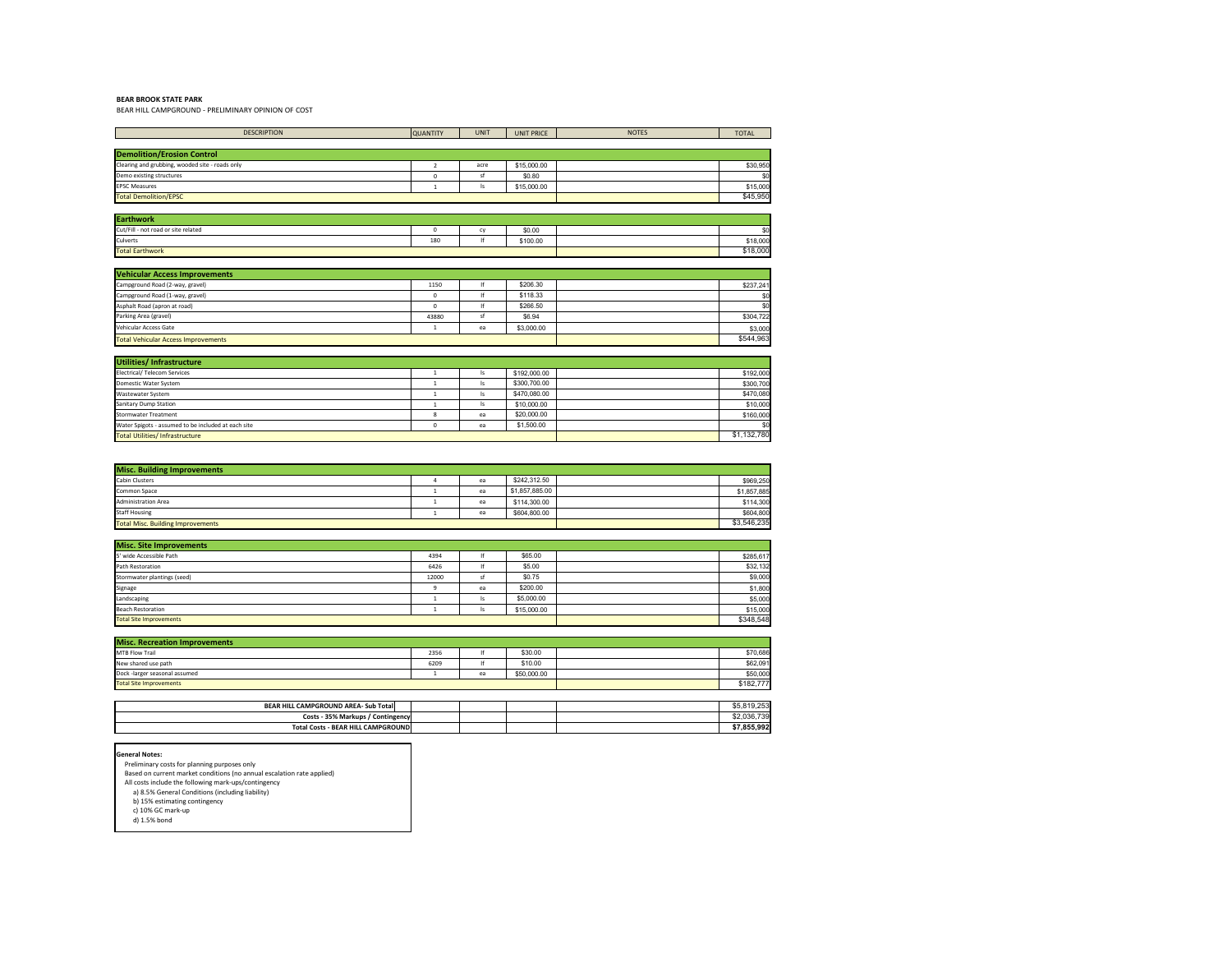## **BEAR BROOK STATE PARK**

BEAR HILL CAMPGROUND - PRELIMINARY OPINION OF COST

| <b>TOTAL</b> |  |  |
|--------------|--|--|
|              |  |  |
|              |  |  |
| \$30,950     |  |  |
|              |  |  |
| \$15,000     |  |  |
| \$45,950     |  |  |

| ï٥       |
|----------|
| \$18,000 |
| \$18,000 |
|          |

| \$192,000   |
|-------------|
| \$300,700   |
| \$470,080   |
| \$10,000    |
| \$160,000   |
|             |
| \$1,132,780 |

| \$969,250   |
|-------------|
| \$1,857,885 |
| \$114,300   |
| \$604,800   |
| \$3,546,235 |

| \$285,617 |
|-----------|
| \$32,132  |
| \$9,000   |
| \$1,800   |
| \$5,000   |
| \$15,000  |
| \$348,548 |

| \$70,686  |
|-----------|
| \$62,091  |
| \$50,000  |
| \$182,777 |

| \$7,855,992 |
|-------------|
| \$2,036,739 |
| \$5,819,253 |
|             |

- All costs include the following mark-ups/contingency
- a) 8.5% General Conditions (including liability)
- b) 15% estimating contingency
- c) 10% GC mark-up d) 1.5% bond

| <b>DESCRIPTION</b>                                                     | <b>QUANTITY</b> | <b>UNIT</b>            | <b>UNIT PRICE</b> | <b>NOTES</b> | <b>TOTAL</b>          |
|------------------------------------------------------------------------|-----------------|------------------------|-------------------|--------------|-----------------------|
|                                                                        |                 |                        |                   |              |                       |
| <b>Demolition/Erosion Control</b>                                      |                 |                        |                   |              |                       |
| Clearing and grubbing, wooded site - roads only                        | $\overline{2}$  | acre                   | \$15,000.00       |              | \$30,950              |
| Demo existing structures                                               | $\mathsf{O}$    | sf                     | \$0.80            |              | \$0                   |
| <b>EPSC Measures</b>                                                   | 1               | ls                     | \$15,000.00       |              | \$15,000              |
| <b>Total Demolition/EPSC</b>                                           |                 |                        |                   |              | \$45,950              |
|                                                                        |                 |                        |                   |              |                       |
| <b>Earthwork</b>                                                       |                 |                        |                   |              |                       |
| Cut/Fill - not road or site related                                    | $\mathbf 0$     | cy                     | \$0.00            |              | \$0                   |
| Culverts                                                               | 180             | lf                     | \$100.00          |              | \$18,000<br>\$18,000  |
| <b>Total Earthwork</b>                                                 |                 |                        |                   |              |                       |
|                                                                        |                 |                        |                   |              |                       |
| <b>Vehicular Access Improvements</b>                                   |                 |                        |                   |              |                       |
| Campground Road (2-way, gravel)                                        | 1150            | $  \mathsf{f}  $<br>lf | \$206.30          |              | \$237,241             |
| Campground Road (1-way, gravel)                                        | 0               | lf                     | \$118.33          |              | \$0                   |
| Asphalt Road (apron at road)<br>Parking Area (gravel)                  | 0               | sf                     | \$266.50          |              | \$0                   |
|                                                                        | 43880           |                        | \$6.94            |              | \$304,722             |
| Vehicular Access Gate                                                  | $\mathbf{1}$    | ea                     | \$3,000.00        |              | \$3,000<br>\$544,963  |
| <b>Total Vehicular Access Improvements</b>                             |                 |                        |                   |              |                       |
|                                                                        |                 |                        |                   |              |                       |
| Utilities/ Infrastructure                                              |                 |                        |                   |              |                       |
| <b>Electrical/ Telecom Services</b>                                    | 1               | ls                     | \$192,000.00      |              | \$192,000             |
| Domestic Water System                                                  | $\mathbf{1}$    | ls                     | \$300,700.00      |              | \$300,700             |
| Wastewater System                                                      | $\mathbf{1}$    | ls                     | \$470,080.00      |              | \$470,080             |
| <b>Sanitary Dump Station</b>                                           | 1               | ls                     | \$10,000.00       |              | \$10,000              |
| <b>Stormwater Treatment</b>                                            | 8               | ea                     | \$20,000.00       |              | \$160,000             |
| Water Spigots - assumed to be included at each site                    | 0               | ea                     | \$1,500.00        |              | \$0<br>\$1,132,780    |
| <b>Total Utilities/Infrastructure</b>                                  |                 |                        |                   |              |                       |
|                                                                        |                 |                        |                   |              |                       |
|                                                                        |                 |                        |                   |              |                       |
| <b>Misc. Building Improvements</b>                                     |                 |                        |                   |              |                       |
| <b>Cabin Clusters</b>                                                  | 4               | ea                     | \$242,312.50      |              | \$969,250             |
| Common Space                                                           | 1               | ea                     | \$1,857,885.00    |              | \$1,857,885           |
| <b>Administration Area</b>                                             | $\mathbf{1}$    | ea                     | \$114,300.00      |              | \$114,300             |
| <b>Staff Housing</b>                                                   | $\mathbf{1}$    | ea                     | \$604,800.00      |              | \$604,800             |
| <b>Total Misc. Building Improvements</b>                               |                 |                        |                   |              | \$3,546,235           |
|                                                                        |                 |                        |                   |              |                       |
| <b>Misc. Site Improvements</b><br>5' wide Accessible Path              |                 |                        |                   |              |                       |
| Path Restoration                                                       | 4394            | lf<br>lf               | \$65.00           |              | \$285,617             |
| Stormwater plantings (seed)                                            | 6426            | sf                     | \$5.00<br>\$0.75  |              | \$32,132              |
|                                                                        | 12000           |                        | \$200.00          |              | \$9,000               |
| Signage<br>Landscaping                                                 | 9               | ea                     | \$5,000.00        |              | \$1,800               |
|                                                                        | 1               | ls                     |                   |              | \$5,000               |
| <b>Beach Restoration</b><br><b>Total Site Improvements</b>             | 1               | ls                     | \$15,000.00       |              | \$15,000<br>\$348,548 |
|                                                                        |                 |                        |                   |              |                       |
| <b>Misc. Recreation Improvements</b>                                   |                 |                        |                   |              |                       |
| MTB Flow Trail                                                         | 2356            | lf                     | \$30.00           |              | \$70,686              |
| New shared use path                                                    | 6209            | lf                     | \$10.00           |              | \$62,091              |
| Dock -larger seasonal assumed                                          | 1               | ea                     | \$50,000.00       |              | \$50,000              |
| <b>Total Site Improvements</b>                                         |                 |                        |                   |              | \$182,777             |
|                                                                        |                 |                        |                   |              |                       |
| BEAR HILL CAMPGROUND AREA- Sub Total                                   |                 |                        |                   |              | \$5,819,253           |
| Costs - 35% Markups / Contingency                                      |                 |                        |                   |              | \$2,036,739           |
| <b>Total Costs - BEAR HILL CAMPGROUND</b>                              |                 |                        |                   |              | \$7,855,992           |
|                                                                        |                 |                        |                   |              |                       |
|                                                                        |                 |                        |                   |              |                       |
| <b>General Notes:</b>                                                  |                 |                        |                   |              |                       |
| Preliminary costs for planning purposes only                           |                 |                        |                   |              |                       |
| Based on current market conditions (no annual escalation rate applied) |                 |                        |                   |              |                       |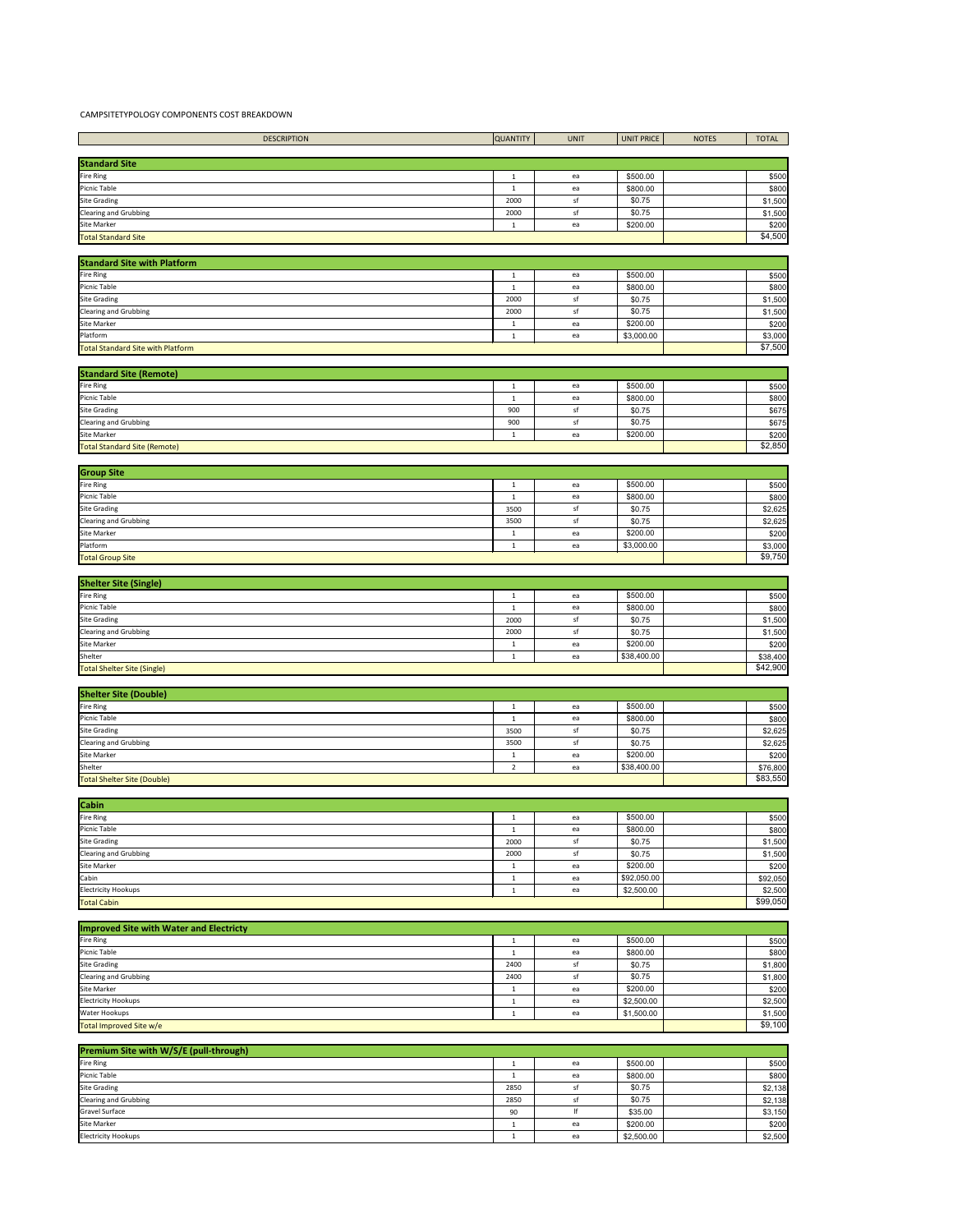## CAMPSITETYPOLOGY COMPONENTS COST BREAKDOWN

| Premium Site with W/S/E (pull-through) |      |    |            |         |  |
|----------------------------------------|------|----|------------|---------|--|
| <b>Fire Ring</b>                       |      | ea | \$500.00   | \$500   |  |
| <b>Picnic Table</b>                    |      | ea | \$800.00   | \$800   |  |
| <b>Site Grading</b>                    | 2850 |    | \$0.75     | \$2,138 |  |
| <b>Clearing and Grubbing</b>           | 2850 |    | \$0.75     | \$2,138 |  |
| <b>Gravel Surface</b>                  | 90   |    | \$35.00    | \$3,150 |  |
| <b>Site Marker</b>                     |      | ea | \$200.00   | \$200   |  |
| <b>Electricity Hookups</b>             |      | ea | \$2,500.00 | \$2,500 |  |

| <b>Improved Site with Water and Electricty</b> |      |     |            |         |
|------------------------------------------------|------|-----|------------|---------|
| <b>Fire Ring</b>                               |      | ea  | \$500.00   | \$500   |
| Picnic Table                                   |      | ea  | \$800.00   | \$800   |
| <b>Site Grading</b>                            | 2400 | .st | \$0.75     | \$1,800 |
| <b>Clearing and Grubbing</b>                   | 2400 | .st | \$0.75     | \$1,800 |
| <b>Site Marker</b>                             |      | ea  | \$200.00   | \$200   |
| <b>Electricity Hookups</b>                     |      | ea  | \$2,500.00 | \$2,500 |
| <b>Water Hookups</b>                           |      | ea  | \$1,500.00 | \$1,500 |
| Total Improved Site w/e                        |      |     |            | \$9,100 |

| <b>Cabin</b>                 |      |     |             |          |
|------------------------------|------|-----|-------------|----------|
| <b>Fire Ring</b>             |      | ea  | \$500.00    | \$500    |
| Picnic Table                 |      | ea  | \$800.00    | \$800    |
| <b>Site Grading</b>          | 2000 | S.  | \$0.75      | \$1,500  |
| <b>Clearing and Grubbing</b> | 2000 | .st | \$0.75      | \$1,500  |
| <b>Site Marker</b>           |      | ea  | \$200.00    | \$200    |
| Cabin                        |      | ea  | \$92,050.00 | \$92,050 |
| <b>Electricity Hookups</b>   |      | ea  | \$2,500.00  | \$2,500  |
| <b>Total Cabin</b>           |      |     |             | \$99,050 |

| <b>Shelter Site (Double)</b>       |          |    |             |          |
|------------------------------------|----------|----|-------------|----------|
| <b>Fire Ring</b>                   |          | ea | \$500.00    | \$500    |
| Picnic Table                       |          | ea | \$800.00    | \$800    |
| <b>Site Grading</b>                | 3500     |    | \$0.75      | \$2,625  |
| <b>Clearing and Grubbing</b>       | 3500     |    | \$0.75      | \$2,625  |
| Site Marker                        |          | ea | \$200.00    | \$200    |
| Shelter                            |          | ea | \$38,400.00 | \$76,800 |
| <b>Total Shelter Site (Double)</b> | \$83,550 |    |             |          |
|                                    |          |    |             |          |

| <b>DESCRIPTION</b>                       | <b>QUANTITY</b> | <b>UNIT</b> | <b>UNIT PRICE</b> | <b>NOTES</b> | <b>TOTAL</b> |
|------------------------------------------|-----------------|-------------|-------------------|--------------|--------------|
|                                          |                 |             |                   |              |              |
| <b>Standard Site</b>                     |                 |             |                   |              |              |
| Fire Ring                                | $\mathbf{1}$    | ea          | \$500.00          |              | \$500        |
| Picnic Table                             | $\mathbf{1}$    | ea          | \$800.00          |              | \$800        |
| Site Grading                             | 2000            | sf          | \$0.75            |              | \$1,500      |
| <b>Clearing and Grubbing</b>             | 2000            | sf          | \$0.75            |              | \$1,500      |
| <b>Site Marker</b>                       | $\mathbf{1}$    | ea          | \$200.00          |              | \$200        |
| <b>Total Standard Site</b>               |                 |             |                   |              | \$4,500      |
|                                          |                 |             |                   |              |              |
| <b>Standard Site with Platform</b>       |                 |             |                   |              |              |
| Fire Ring                                | $\mathbf{1}$    | ea          | \$500.00          |              | \$500        |
| Picnic Table                             | $\mathbf{1}$    | ea          | \$800.00          |              | \$800        |
| <b>Site Grading</b>                      | 2000            | sf          | \$0.75            |              | \$1,500      |
| <b>Clearing and Grubbing</b>             | 2000            | sf          | \$0.75            |              | \$1,500      |
| <b>Site Marker</b>                       | $\mathbf{1}$    | ea          | \$200.00          |              | \$200        |
| Platform                                 | $\mathbf{1}$    | ea          | \$3,000.00        |              | \$3,000      |
| <b>Total Standard Site with Platform</b> |                 |             |                   |              | \$7,500      |
|                                          |                 |             |                   |              |              |
| <b>Standard Site (Remote)</b>            |                 |             |                   |              |              |
| Fire Ring                                | 1               | ea          | \$500.00          |              | \$500        |
| Picnic Table                             | $\mathbf{1}$    | ea          | \$800.00          |              | \$800        |
| <b>Site Grading</b>                      | 900             | sf          | \$0.75            |              | \$675        |
| <b>Clearing and Grubbing</b>             | 900             | sf          | \$0.75            |              | \$675        |
| Site Marker                              | $\mathbf{1}$    | ea          | \$200.00          |              | \$200        |
| Total Standard Site (Remote)             |                 |             |                   |              | \$2,850      |
|                                          |                 |             |                   |              |              |
|                                          |                 |             |                   |              |              |
| <b>Group Site</b><br>Fire Ring           | $\mathbf{1}$    | ea          | \$500.00          |              | \$500        |
| Picnic Table                             | 1               | ea          | \$800.00          |              | \$800        |
| Site Grading                             | 3500            | sf          | \$0.75            |              | \$2,625      |
| Clearing and Grubbing                    | 3500            | sf          | \$0.75            |              | \$2,625      |
| Site Marker                              | $\mathbf{1}$    | ea          | \$200.00          |              | \$200        |
| Platform                                 | 1               | ea          | \$3,000.00        |              | \$3,000      |
| <b>Total Group Site</b>                  |                 |             |                   |              | \$9,750      |
|                                          |                 |             |                   |              |              |
| <b>Shelter Site (Single)</b>             |                 |             |                   |              |              |
| Fire Ring                                | 1               | ea          | \$500.00          |              | \$500        |
| Picnic Table                             | $\mathbf{1}$    | ea          | \$800.00          |              | \$800        |
| <b>Site Grading</b>                      | 2000            | sf          | \$0.75            |              | \$1,500      |
| <b>Clearing and Grubbing</b>             | 2000            | sf          | \$0.75            |              | \$1,500      |
| <b>Site Marker</b>                       | $\mathbf{1}$    | ea          | \$200.00          |              | \$200        |
| Shelter                                  | $\mathbf{1}$    | ea          | \$38,400.00       |              | \$38,400     |
| <b>Total Shelter Site (Single)</b>       |                 |             |                   |              | \$42,900     |
|                                          |                 |             |                   |              |              |
| Shelter Site (Double)                    |                 |             |                   |              |              |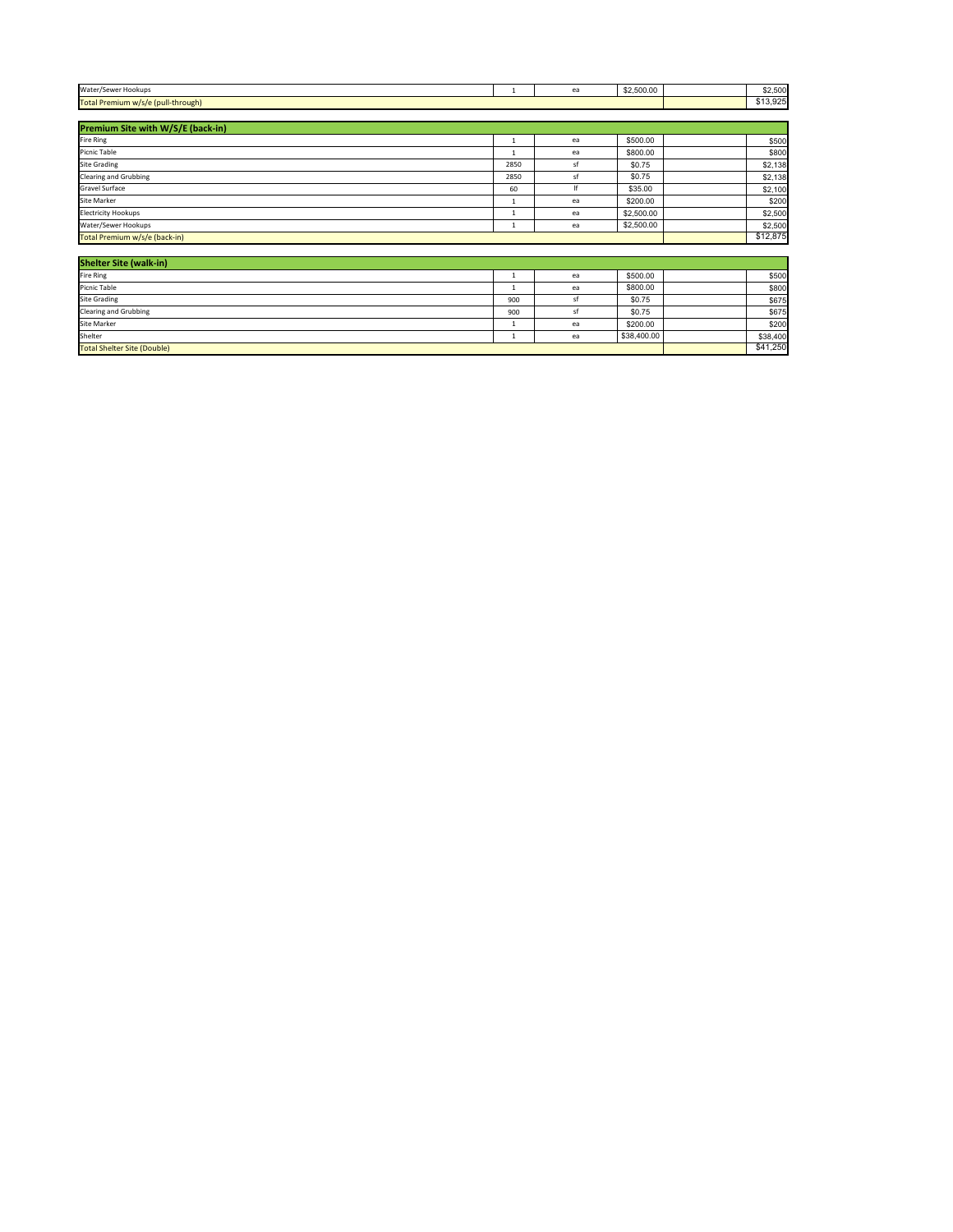| <b>Shelter Site (walk-in)</b>      |          |    |             |          |
|------------------------------------|----------|----|-------------|----------|
| <b>Fire Ring</b>                   |          | ea | \$500.00    | \$500    |
| Picnic Table                       |          | ea | \$800.00    | \$800    |
| <b>Site Grading</b>                | 900      |    | \$0.75      | \$675    |
| <b>Clearing and Grubbing</b>       | 900      |    | \$0.75      | \$675    |
| Site Marker                        |          | ea | \$200.00    | \$200    |
| Shelter                            |          | ea | \$38,400.00 | \$38,400 |
| <b>Total Shelter Site (Double)</b> | \$41,250 |    |             |          |

| Water/Sewer Hookups                |                                                              | $\sim$ | \$2,500.00 | \$2,500 |
|------------------------------------|--------------------------------------------------------------|--------|------------|---------|
| Total Premium w/s/e (pull-through) | $\triangle$<br>$\mathbf{A} \mathbf{A} \mathbf{A}$<br>ס∠ש,טור |        |            |         |

| <b>Premium Site with W/S/E (back-in)</b> |          |     |            |         |
|------------------------------------------|----------|-----|------------|---------|
| <b>Fire Ring</b>                         |          | ea  | \$500.00   | \$500   |
| Picnic Table                             |          | ea  | \$800.00   | \$800   |
| <b>Site Grading</b>                      | 2850     | -S1 | \$0.75     | \$2,138 |
| <b>Clearing and Grubbing</b>             | 2850     | -st | \$0.75     | \$2,138 |
| <b>Gravel Surface</b>                    | 60       |     | \$35.00    | \$2,100 |
| <b>Site Marker</b>                       |          | ea  | \$200.00   | \$200   |
| <b>Electricity Hookups</b>               |          | ea  | \$2,500.00 | \$2,500 |
| Water/Sewer Hookups                      |          | ea  | \$2,500.00 | \$2,500 |
| Total Premium w/s/e (back-in)            | \$12,875 |     |            |         |